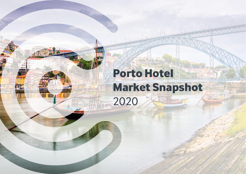# **Porto Hotel Market Snapshot**  2020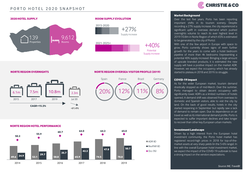



2015-2020





## **NORTE REGION OVERNIGHTS NORTE REGION OVERSEA VISITOR PROFILE (2019)**







#### **Market Background**

Over the last five years, Porto has been reporting important shifts in its tourism scenery. Despite recording a 27% supply increase, the city experienced a significant uplift in overseas demand which pushed overnights volume to reach its ever highest level in 2019 (10.8m in Norte Region of which 65% is estimated to be generated by the city of Porto).

With one of the few airport in Europe with space to grow, Porto currently shows signs of even further growth for the years to come with a hotel bedroom pipeline of more than 4k bedrooms (representing a potential 40% supply increase). Bringing a large amount of upscale branded products, it is estimated the new supply will have a positive impact on the market ADR. However, we expect the occupancy which has already started to plateau in 2018 and 2019, to struggle.

#### **COVID-19 Impact**

As for the wider European market, tourism demand drastically stopped as of mid-March. Over the summer, Porto managed to obtain decent occupancy with significantly lower ADR's as a limited numbers of hotels opened. A demand shift was observed from overseas to domestic and Spanish visitors, able to visit the city by land. On the back of good results, hotels in the city started reopening in September but rapidly saw a lack of demand to remain open. Due its dependence on air travel as well as its international demand profile, Porto is expected to suffer important declines and take longer to recover than other key European urban markets.

#### **InvestmentLandscape**

Driven by a high interest from the European hotel investment community, the Porto hotel market has registered record-high prices in 2018 for top-of-themarket assets at very sharp yields (in the 5-6% range). In line with the overall European hotel investment market, we expect the impact of the COVID-19 outbreak to have a strong impact on the vendors expectations.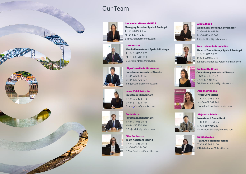## Our Team













**Inmaculada Ranera MRICS Managing Director Spain & Portugal** T +34 93 343 61 62 M +34 627 410 671 E Inma.Ranera@christie.com



**Íñigo Cumella de Montserrat Investment Associate Director** T +34 93 343 61 65 M +34 628 420 197 E Inigo.Cumella@christie.com

**Laura Vidal Kränzlin Investment Consultant** T +34 93 343 61 75 M +34 679 503 140 E Laura[.V](mailto:Laura.Vidal@christie.com)idal@christie.com

**Borja Nieto Investment Consultant** T +34 91 045 98 76 M +34 650 950 316 E Borja.Nieto@christie.com

**Pilar Contreras Team Assistant Madrid**  T +34 91 045 98 76 M: +34 600 054 006 E Pilar.Contreras@christie.com



**Alexia Ripoll Admin. & Marketing Coordinator** T +34 93 343 61 76 M +34 695 417 308 E Alexia.Ripoll@christie.com







**Consultancy Associate Director** E Guillemette.Briard@christie.com

**Ariadna Planella Hotel Consultant** T +34 93 343 61 69 M: +34 659 761 941 E Ariadna.Planella@christie.com



**Natalia Luque Team Assistant Barcelona**  T +34 93 343 61 70 E Natalia.Luque@christie.com